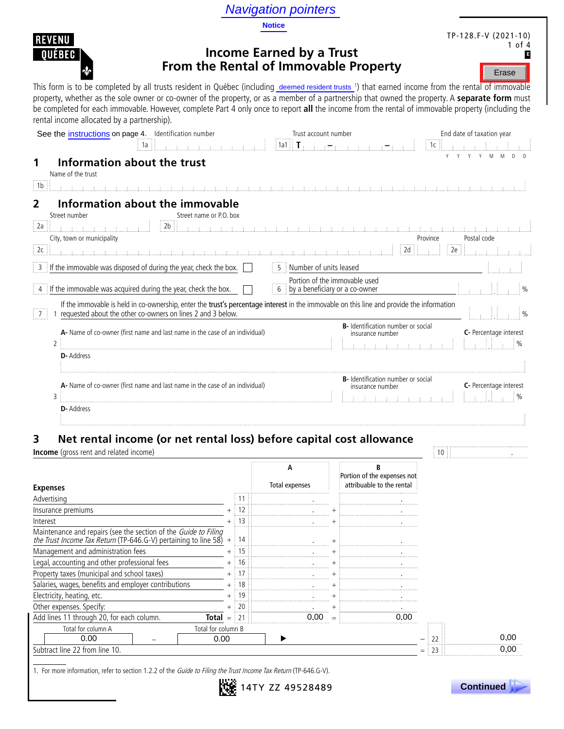Navigation pointers

**Notice**



Erase

# **Income Earned by a Trust From the Rental of Immovable Property**

This form is to be completed by all trusts resident in Québec (including deemed resident trusts ') that earned income from the rental of immovable property, whether as the sole owner or co-owner of the property, or as a member of a partnership that owned the property. A **separate form** must be completed for each immovable. However, complete Part 4 only once to report **all** the income from the rental of immovable property (including the rental income allocated by a partnership).

|                                       | See the instructions on page 4. Identification number                                                                                                                                                    | Trust account number                                            |                                                               | End date of taxation year |
|---------------------------------------|----------------------------------------------------------------------------------------------------------------------------------------------------------------------------------------------------------|-----------------------------------------------------------------|---------------------------------------------------------------|---------------------------|
|                                       | 1a                                                                                                                                                                                                       | $\parallel$ 1a1 $\parallel$ <b>T</b> .                          |                                                               | 1c                        |
| Name of the trust                     | Information about the trust                                                                                                                                                                              |                                                                 |                                                               |                           |
| i 1b                                  |                                                                                                                                                                                                          |                                                                 |                                                               |                           |
| $\overline{2}$<br>Street number<br>2a | Information about the immovable<br>Street name or P.O. box<br>2b                                                                                                                                         | <b>Carl and a carl and</b>                                      |                                                               |                           |
| City, town or municipality            |                                                                                                                                                                                                          |                                                                 |                                                               | Postal code<br>Province   |
| 2c                                    |                                                                                                                                                                                                          |                                                                 | 2d                                                            | 2e                        |
|                                       | 3 If the immovable was disposed of during the year, check the box.                                                                                                                                       | 5   Number of units leased                                      |                                                               |                           |
|                                       | $4$ If the immovable was acquired during the year, check the box.                                                                                                                                        | Portion of the immovable used<br>by a beneficiary or a co-owner |                                                               |                           |
| $\vert 7 \vert$                       | If the immovable is held in co-ownership, enter the trust's percentage interest in the immovable on this line and provide the information<br>requested about the other co-owners on lines 2 and 3 below. |                                                                 |                                                               | $\%$                      |
|                                       | A- Name of co-owner (first name and last name in the case of an individual)                                                                                                                              |                                                                 | B- Identification number or social<br>insurance number        | C- Percentage interest    |
| $\overline{2}$<br><b>D</b> -Address   |                                                                                                                                                                                                          |                                                                 |                                                               |                           |
| 3                                     | A- Name of co-owner (first name and last name in the case of an individual)                                                                                                                              |                                                                 | <b>B-</b> Identification number or social<br>insurance number | C- Percentage interest    |
| <b>D-</b> Address                     |                                                                                                                                                                                                          |                                                                 |                                                               |                           |

# **3 Net rental income (or net rental loss) before capital cost allowance**

**Income** (gross rent and related income) 10 . **In a state of the state of the state of the state of the state of the state of the state of the state of the state of the state of the state of the state of the state of the s** 

**REVENU OUEBEC** 

⋠

|                                                                                                                                          |      |                | А<br>Total expenses | Portion of the expenses not<br>attribuable to the rental |
|------------------------------------------------------------------------------------------------------------------------------------------|------|----------------|---------------------|----------------------------------------------------------|
| <b>Expenses</b>                                                                                                                          |      |                |                     |                                                          |
| Advertising                                                                                                                              |      |                |                     |                                                          |
| Insurance premiums                                                                                                                       |      |                |                     |                                                          |
| Interest                                                                                                                                 |      | 13             |                     |                                                          |
| Maintenance and repairs (see the section of the <i>Guide to Filing the Trust Income Tax Return</i> (TP-646.G-V) pertaining to line 58) + |      | 14             |                     |                                                          |
| Management and administration fees                                                                                                       |      | $\div$ 15      |                     |                                                          |
| Legal, accounting and other professional fees                                                                                            |      | 16             |                     |                                                          |
| Property taxes (municipal and school taxes)                                                                                              |      |                |                     |                                                          |
| Salaries, wages, benefits and employer contributions                                                                                     |      | 18             |                     |                                                          |
| Electricity, heating, etc.                                                                                                               |      |                |                     |                                                          |
| Other expenses. Specify:                                                                                                                 |      | 20             |                     |                                                          |
| Add lines 11 through 20, for each column.<br>Total                                                                                       | $=$  | 2 <sup>1</sup> |                     | 0.00                                                     |
| Total for column A<br>Total for column B                                                                                                 |      |                |                     |                                                          |
| 0.00                                                                                                                                     | 0.00 |                |                     |                                                          |
| Subtract line 22 from line 10.                                                                                                           |      |                |                     |                                                          |

1. For more information, refer to section 1.2.2 of the Guide to Filing the Trust Income Tax Return (TP-646.G-V).



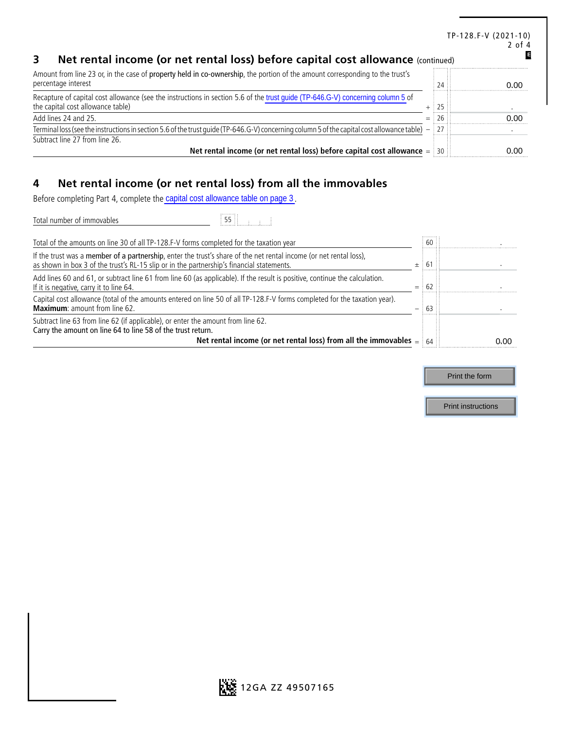|                                                                                                                                                                      |              |     | TP-128.F-V (2021-10)<br>$2$ of $4$ |
|----------------------------------------------------------------------------------------------------------------------------------------------------------------------|--------------|-----|------------------------------------|
| Net rental income (or net rental loss) before capital cost allowance (continued)                                                                                     |              |     |                                    |
| Amount from line 23 or, in the case of property held in co-ownership, the portion of the amount corresponding to the trust's<br>percentage interest                  |              | 24: | റ ററ                               |
| Recapture of capital cost allowance (see the instructions in section 5.6 of the trust guide (TP-646.G-V) concerning column 5 of<br>the capital cost allowance table) | $+ 125$      |     |                                    |
| Add lines 24 and 25.                                                                                                                                                 | $=$ : 26 : : |     | ስ ስስ                               |
| Terminal loss (see the instructions in section 5.6 of the trust quide (TP-646.G-V) concerning column 5 of the capital cost allowance table) $-$ 27                   |              |     |                                    |
| Subtract line 27 from line 26.                                                                                                                                       |              |     |                                    |
| Net rental income (or net rental loss) before capital cost allowance $=$ 30                                                                                          |              |     | n nr                               |

# **4 Net rental income (or net rental loss) from all the immovables**

Before completing Part 4, complete the capital cost allowance table on page 3.

| Before completing Part 4, complete the capital cost allowance table on page 3.                                                                                                                                           |        |                           |
|--------------------------------------------------------------------------------------------------------------------------------------------------------------------------------------------------------------------------|--------|---------------------------|
| $55$ $\frac{1}{2}$ $\frac{1}{2}$<br>Total number of immovables                                                                                                                                                           |        |                           |
| Total of the amounts on line 30 of all TP-128.F-V forms completed for the taxation year                                                                                                                                  | $60$ : |                           |
| If the trust was a member of a partnership, enter the trust's share of the net rental income (or net rental loss),<br>as shown in box 3 of the trust's RL-15 slip or in the partnership's financial statements.<br>$\pm$ | 61     |                           |
| Add lines 60 and 61, or subtract line 61 from line 60 (as applicable). If the result is positive, continue the calculation.<br>If it is negative, carry it to line 64.<br>$=$                                            | 62     |                           |
| Capital cost allowance (total of the amounts entered on line 50 of all TP-128.F-V forms completed for the taxation year).<br><b>Maximum:</b> amount from line 62.                                                        | 63     |                           |
| Subtract line 63 from line 62 (if applicable), or enter the amount from line 62.<br>Carry the amount on line 64 to line 58 of the trust return.                                                                          |        |                           |
| Net rental income (or net rental loss) from all the immovables $=$                                                                                                                                                       |        | 0.00                      |
|                                                                                                                                                                                                                          |        |                           |
|                                                                                                                                                                                                                          |        | Print the form            |
|                                                                                                                                                                                                                          |        | <b>Print instructions</b> |

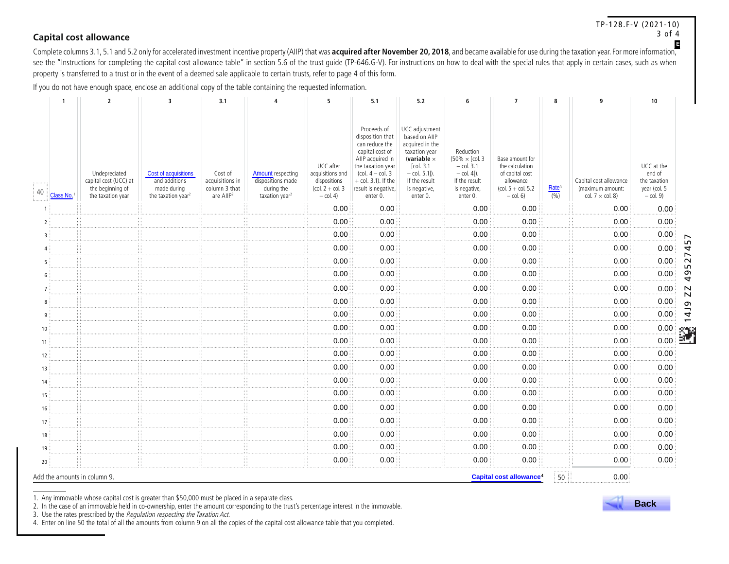#### TP-128.F-V (2021-10) 3 of 4 **Capital cost allowance**

implete columns 3.1, 5.1 and 5.2 only for accelerated investment incentive property (AIIP) that was **acquired after November 20, 2018**, and became available for use during the taxation year. For more information, Complete see the "Instructions for completing the capital cost allowance table" in section 5.6 of the trust guide (TP-646.G-V). For instructions on how to deal with the special rules that apply in certain cases, such as when property is transferred to a trust or in the event of a deemed sale applicable to certain trusts, refer to page 4 of this form.

If you do not have enough space, enclose an additional copy of the table containing the requested information.

|    | $\mathbf{1}$ | $\overline{2}$                                                                  | 3                                                                                      | 3.1                                                                  | $\overline{A}$                                                                            | 5                                                                                                              | 5.1                                                                                                                                                                                                     | 5.2                                                                                                                                                                    | 6                                                                                                         | $\overline{7}$                                                                                               | 8                          | 9                                                                     | 10                                                                  |                          |
|----|--------------|---------------------------------------------------------------------------------|----------------------------------------------------------------------------------------|----------------------------------------------------------------------|-------------------------------------------------------------------------------------------|----------------------------------------------------------------------------------------------------------------|---------------------------------------------------------------------------------------------------------------------------------------------------------------------------------------------------------|------------------------------------------------------------------------------------------------------------------------------------------------------------------------|-----------------------------------------------------------------------------------------------------------|--------------------------------------------------------------------------------------------------------------|----------------------------|-----------------------------------------------------------------------|---------------------------------------------------------------------|--------------------------|
| 40 | Class No.    | Undepreciated<br>capital cost (UCC) at<br>the beginning of<br>the taxation year | Cost of acquisitions<br>and additions<br>made during<br>the taxation year <sup>2</sup> | Cost of<br>acquisitions in<br>column 3 that<br>are AllP <sup>2</sup> | <b>Amount</b> respecting<br>dispositions made<br>during the<br>taxation year <sup>2</sup> | UCC after<br>acquisitions and<br>dispositions<br>$\left(\text{col. } 2 + \text{col. } 3\right)$<br>$-$ col. 4) | Proceeds of<br>disposition that<br>can reduce the<br>capital cost of<br>AIIP acquired in<br>the taxation year<br>(col. $4 - \text{col. } 3$<br>$+$ col. 3.1). If the<br>result is negative,<br>enter 0. | UCC adjustment<br>based on AIIP<br>acquired in the<br>taxation year<br>(variable $\times$<br>[col. 3.1<br>$-$ col. 5.1]).<br>If the result<br>is negative,<br>enter 0. | Reduction<br>(50% × [col. 3<br>$-$ col. 3.1<br>$-$ col. 4]).<br>If the result<br>is negative,<br>enter 0. | Base amount for<br>the calculation<br>of capital cost<br>allowance<br>$(col. 5 + col. 5.2)$<br>$-$ col. $6)$ | Rate <sup>3</sup><br>(9/6) | Capital cost allowance<br>(maximum amount:<br>col. $7 \times$ col. 8) | UCC at the<br>end of<br>the taxation<br>year (col. 5<br>$-$ col. 9) |                          |
|    |              |                                                                                 |                                                                                        |                                                                      |                                                                                           | 0.00                                                                                                           | 0.00                                                                                                                                                                                                    |                                                                                                                                                                        | 0.00                                                                                                      | 0.00                                                                                                         |                            | 0.00                                                                  | 0.00                                                                |                          |
|    |              |                                                                                 |                                                                                        |                                                                      |                                                                                           | 0.00                                                                                                           | 0.00                                                                                                                                                                                                    |                                                                                                                                                                        | 0.00                                                                                                      | 0.00                                                                                                         |                            | 0.00                                                                  | 0.00                                                                |                          |
|    |              |                                                                                 |                                                                                        | Ħ                                                                    |                                                                                           | 0.00                                                                                                           | 0.00                                                                                                                                                                                                    |                                                                                                                                                                        | 0.00                                                                                                      | 0.00                                                                                                         |                            | 0.00                                                                  | 0.00                                                                | LO.                      |
|    |              |                                                                                 |                                                                                        | Ħ                                                                    |                                                                                           | 0.00                                                                                                           | 0.00                                                                                                                                                                                                    |                                                                                                                                                                        | 0.00                                                                                                      | 0.00                                                                                                         |                            | 0.00                                                                  | 0.00                                                                | 4<br>∼                   |
|    |              |                                                                                 |                                                                                        | Ħ                                                                    |                                                                                           | 0.00                                                                                                           | 0.00                                                                                                                                                                                                    | Ħ                                                                                                                                                                      | 0.00                                                                                                      | 0.00                                                                                                         |                            | 0.00                                                                  | 0.00                                                                | $\sim$<br>$\overline{m}$ |
|    |              |                                                                                 | Ħ                                                                                      | Ħ.                                                                   |                                                                                           | 0.00                                                                                                           | 0.00                                                                                                                                                                                                    | Ħ                                                                                                                                                                      | 0.00                                                                                                      | 0.00                                                                                                         |                            | 0.00                                                                  | 0.00                                                                | ൭<br>4                   |
|    |              |                                                                                 | $\mathcal{I}$                                                                          | Ħ                                                                    |                                                                                           | 0.00                                                                                                           | 0.00                                                                                                                                                                                                    | Ħ                                                                                                                                                                      | 0.00                                                                                                      | 0.00                                                                                                         |                            | 0.00                                                                  | 0.00                                                                | ZZ                       |
|    |              |                                                                                 |                                                                                        | Ħ                                                                    |                                                                                           | 0.00                                                                                                           | 0.00                                                                                                                                                                                                    |                                                                                                                                                                        | 0.00                                                                                                      | 0.00                                                                                                         |                            | 0.00                                                                  | 0.00                                                                | თ                        |
| q  |              |                                                                                 | Ħ                                                                                      | Ħ.                                                                   |                                                                                           | 0.00                                                                                                           | 0.00                                                                                                                                                                                                    |                                                                                                                                                                        | 0.00                                                                                                      | 0.00                                                                                                         |                            | 0.00                                                                  | 0.00                                                                | $\overline{4}$           |
| 10 |              |                                                                                 |                                                                                        | Ħ.                                                                   |                                                                                           | 0.00                                                                                                           | 0.00                                                                                                                                                                                                    | Ħ                                                                                                                                                                      | 0.00                                                                                                      | 0.00                                                                                                         |                            | 0.00                                                                  | 0.00                                                                | 838                      |
| 11 |              |                                                                                 |                                                                                        | Ħ                                                                    |                                                                                           | 0.00                                                                                                           | 0.00                                                                                                                                                                                                    |                                                                                                                                                                        | 0.00                                                                                                      | 0.00                                                                                                         |                            | 0.00                                                                  | 0.00                                                                |                          |
| 12 |              |                                                                                 | Ħ                                                                                      | Ħ                                                                    |                                                                                           | 0.00                                                                                                           | 0.00                                                                                                                                                                                                    | Ħ                                                                                                                                                                      | 0.00                                                                                                      | 0.00                                                                                                         |                            | 0.00                                                                  | 0.00                                                                |                          |
| 13 |              |                                                                                 |                                                                                        | Ð.                                                                   |                                                                                           | 0.00                                                                                                           | 0.00                                                                                                                                                                                                    |                                                                                                                                                                        | 0.00                                                                                                      | 0.00                                                                                                         |                            | 0.00                                                                  | 0.00                                                                |                          |
| 14 |              |                                                                                 |                                                                                        | Ħ                                                                    |                                                                                           | 0.00                                                                                                           | 0.00                                                                                                                                                                                                    | Π                                                                                                                                                                      | 0.00                                                                                                      | 0.00                                                                                                         |                            | 0.00                                                                  | 0.00                                                                |                          |
| 15 |              |                                                                                 |                                                                                        | Ħ                                                                    |                                                                                           | 0.00                                                                                                           | 0.00                                                                                                                                                                                                    | Ħ                                                                                                                                                                      | 0.00                                                                                                      | 0.00                                                                                                         |                            | 0.00                                                                  | 0.00                                                                |                          |
| 16 |              |                                                                                 |                                                                                        |                                                                      |                                                                                           | 0.00                                                                                                           | 0.00                                                                                                                                                                                                    |                                                                                                                                                                        | 0.00                                                                                                      | 0.00                                                                                                         |                            | 0.00                                                                  | 0.00                                                                |                          |
| 17 |              |                                                                                 |                                                                                        | Ħ                                                                    |                                                                                           | 0.00                                                                                                           | 0.00                                                                                                                                                                                                    |                                                                                                                                                                        | 0.00                                                                                                      | 0.00                                                                                                         |                            | 0.00                                                                  | 0.00                                                                |                          |
| 18 |              |                                                                                 |                                                                                        | ΕE                                                                   |                                                                                           | 0.00                                                                                                           | 0.00                                                                                                                                                                                                    |                                                                                                                                                                        | 0.00                                                                                                      | 0.00                                                                                                         |                            | 0.00                                                                  | 0.00                                                                |                          |
| 19 |              |                                                                                 |                                                                                        | ΕĒ                                                                   |                                                                                           | 0.00                                                                                                           | 0.00                                                                                                                                                                                                    | 0                                                                                                                                                                      | 0.00                                                                                                      | 0.00                                                                                                         |                            | 0.00                                                                  | 0.00                                                                |                          |
| 20 |              |                                                                                 |                                                                                        | Ħ.                                                                   |                                                                                           | 0.00                                                                                                           | 0.00                                                                                                                                                                                                    | Ħ                                                                                                                                                                      | 0.00                                                                                                      | 0.00                                                                                                         |                            | 0.00                                                                  | 0.00                                                                |                          |
|    |              | Add the amounts in column 9.                                                    |                                                                                        |                                                                      |                                                                                           |                                                                                                                |                                                                                                                                                                                                         |                                                                                                                                                                        |                                                                                                           | <b>Capital cost allowance<sup>4</sup></b>                                                                    | 50                         | 0.00                                                                  |                                                                     |                          |



1. Any immovable whose capital cost is greater than \$50,000 must be placed in a separate class.

2. In the case of an immovable held in co-ownership, enter the amount corresponding to the trust's percentage interest in the immovable.

3. Use the rates prescribed by the Regulation respecting the Taxation Act.

4. Enter on line 50 the total of all the amounts from column 9 on all the copies of the capital cost allowance table that you completed.